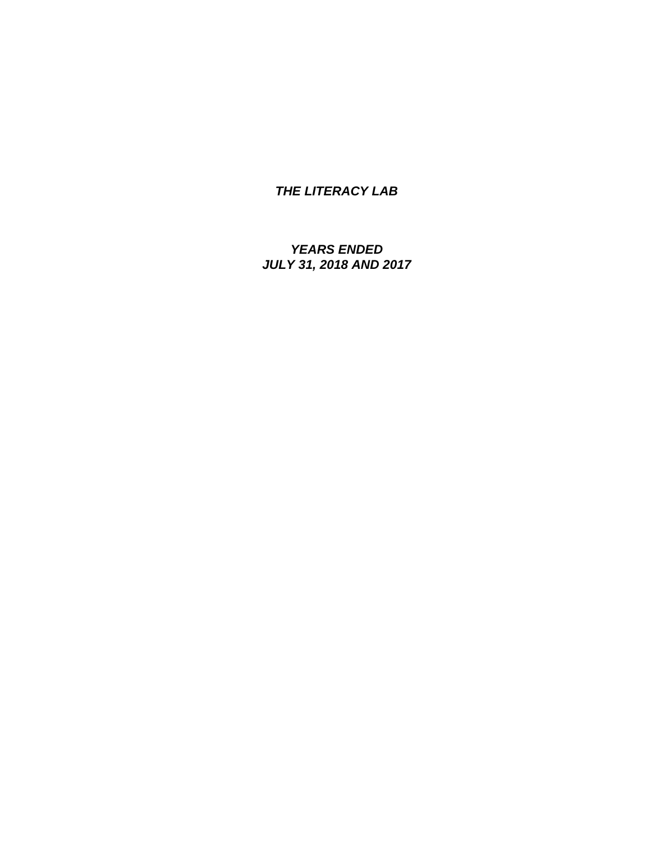*YEARS ENDED JULY 31, 2018 AND 2017*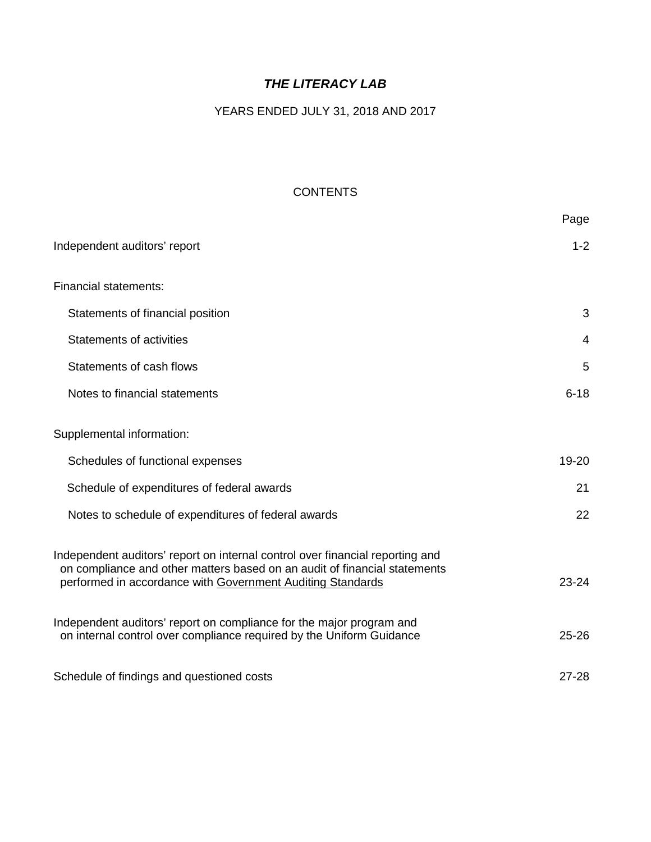## YEARS ENDED JULY 31, 2018 AND 2017

## **CONTENTS**

|                                                                                                                                                                                                                          | Page      |
|--------------------------------------------------------------------------------------------------------------------------------------------------------------------------------------------------------------------------|-----------|
| Independent auditors' report                                                                                                                                                                                             | $1 - 2$   |
| <b>Financial statements:</b>                                                                                                                                                                                             |           |
| Statements of financial position                                                                                                                                                                                         | 3         |
| Statements of activities                                                                                                                                                                                                 | 4         |
| Statements of cash flows                                                                                                                                                                                                 | 5         |
| Notes to financial statements                                                                                                                                                                                            | $6 - 18$  |
| Supplemental information:                                                                                                                                                                                                |           |
| Schedules of functional expenses                                                                                                                                                                                         | 19-20     |
| Schedule of expenditures of federal awards                                                                                                                                                                               | 21        |
| Notes to schedule of expenditures of federal awards                                                                                                                                                                      | 22        |
| Independent auditors' report on internal control over financial reporting and<br>on compliance and other matters based on an audit of financial statements<br>performed in accordance with Government Auditing Standards | $23 - 24$ |
| Independent auditors' report on compliance for the major program and<br>on internal control over compliance required by the Uniform Guidance                                                                             | $25 - 26$ |
| Schedule of findings and questioned costs                                                                                                                                                                                | $27 - 28$ |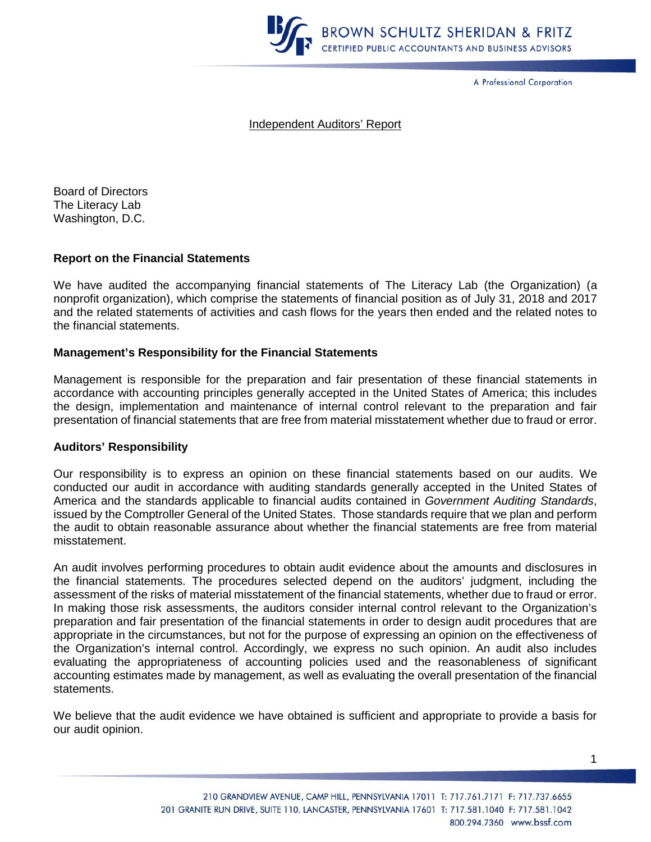

A Professional Corporation

#### Independent Auditors' Report

Board of Directors The Literacy Lab Washington, D.C.

#### **Report on the Financial Statements**

We have audited the accompanying financial statements of The Literacy Lab (the Organization) (a nonprofit organization), which comprise the statements of financial position as of July 31, 2018 and 2017 and the related statements of activities and cash flows for the years then ended and the related notes to the financial statements.

#### **Management's Responsibility for the Financial Statements**

Management is responsible for the preparation and fair presentation of these financial statements in accordance with accounting principles generally accepted in the United States of America; this includes the design, implementation and maintenance of internal control relevant to the preparation and fair presentation of financial statements that are free from material misstatement whether due to fraud or error.

#### **Auditors' Responsibility**

Our responsibility is to express an opinion on these financial statements based on our audits. We conducted our audit in accordance with auditing standards generally accepted in the United States of America and the standards applicable to financial audits contained in *Government Auditing Standards*, issued by the Comptroller General of the United States. Those standards require that we plan and perform the audit to obtain reasonable assurance about whether the financial statements are free from material misstatement.

An audit involves performing procedures to obtain audit evidence about the amounts and disclosures in the financial statements. The procedures selected depend on the auditors' judgment, including the assessment of the risks of material misstatement of the financial statements, whether due to fraud or error. In making those risk assessments, the auditors consider internal control relevant to the Organization's preparation and fair presentation of the financial statements in order to design audit procedures that are appropriate in the circumstances, but not for the purpose of expressing an opinion on the effectiveness of the Organization's internal control. Accordingly, we express no such opinion. An audit also includes evaluating the appropriateness of accounting policies used and the reasonableness of significant accounting estimates made by management, as well as evaluating the overall presentation of the financial statements.

We believe that the audit evidence we have obtained is sufficient and appropriate to provide a basis for our audit opinion.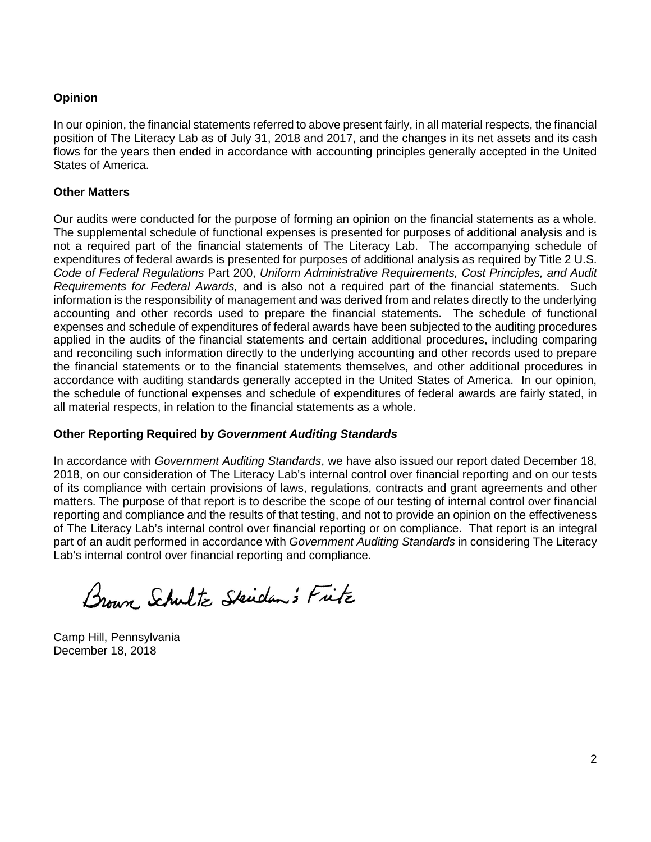## **Opinion**

In our opinion, the financial statements referred to above present fairly, in all material respects, the financial position of The Literacy Lab as of July 31, 2018 and 2017, and the changes in its net assets and its cash flows for the years then ended in accordance with accounting principles generally accepted in the United States of America.

## **Other Matters**

Our audits were conducted for the purpose of forming an opinion on the financial statements as a whole. The supplemental schedule of functional expenses is presented for purposes of additional analysis and is not a required part of the financial statements of The Literacy Lab. The accompanying schedule of expenditures of federal awards is presented for purposes of additional analysis as required by Title 2 U.S. *Code of Federal Regulations* Part 200, *Uniform Administrative Requirements, Cost Principles, and Audit Requirements for Federal Awards,* and is also not a required part of the financial statements. Such information is the responsibility of management and was derived from and relates directly to the underlying accounting and other records used to prepare the financial statements. The schedule of functional expenses and schedule of expenditures of federal awards have been subjected to the auditing procedures applied in the audits of the financial statements and certain additional procedures, including comparing and reconciling such information directly to the underlying accounting and other records used to prepare the financial statements or to the financial statements themselves, and other additional procedures in accordance with auditing standards generally accepted in the United States of America. In our opinion, the schedule of functional expenses and schedule of expenditures of federal awards are fairly stated, in all material respects, in relation to the financial statements as a whole.

## **Other Reporting Required by** *Government Auditing Standards*

In accordance with *Government Auditing Standards*, we have also issued our report dated December 18, 2018, on our consideration of The Literacy Lab's internal control over financial reporting and on our tests of its compliance with certain provisions of laws, regulations, contracts and grant agreements and other matters. The purpose of that report is to describe the scope of our testing of internal control over financial reporting and compliance and the results of that testing, and not to provide an opinion on the effectiveness of The Literacy Lab's internal control over financial reporting or on compliance. That report is an integral part of an audit performed in accordance with *Government Auditing Standards* in considering The Literacy Lab's internal control over financial reporting and compliance.

Brown Schultz Skidan's Fitz

Camp Hill, Pennsylvania December 18, 2018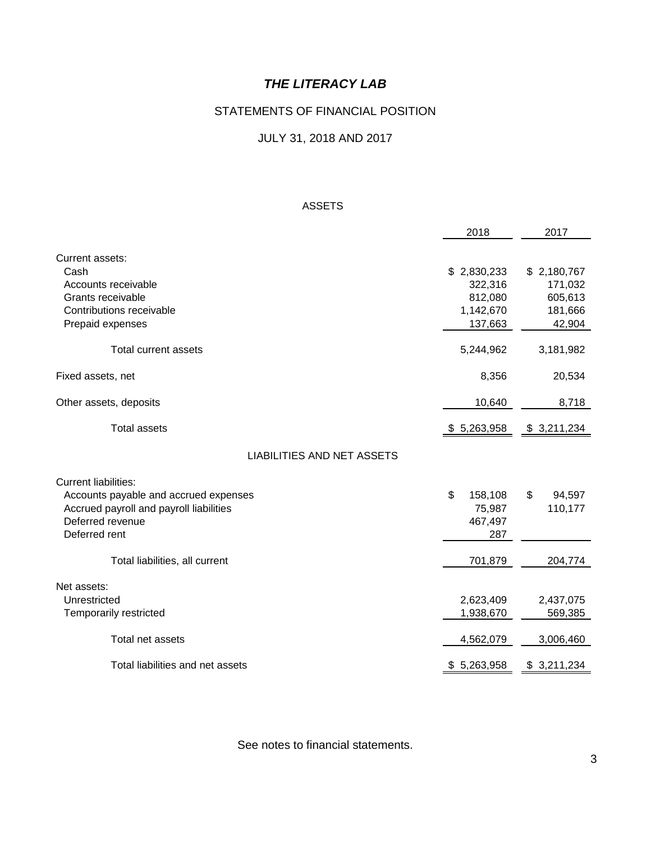## STATEMENTS OF FINANCIAL POSITION

## JULY 31, 2018 AND 2017

### ASSETS

|                                         | 2018          | 2017         |
|-----------------------------------------|---------------|--------------|
| Current assets:                         |               |              |
| Cash                                    | \$2,830,233   | \$2,180,767  |
| Accounts receivable                     | 322,316       | 171,032      |
| Grants receivable                       | 812,080       | 605,613      |
| Contributions receivable                | 1,142,670     | 181,666      |
| Prepaid expenses                        | 137,663       | 42,904       |
| Total current assets                    | 5,244,962     | 3,181,982    |
| Fixed assets, net                       | 8,356         | 20,534       |
| Other assets, deposits                  | 10,640        | 8,718        |
| <b>Total assets</b>                     | \$5,263,958   | \$3,211,234  |
| <b>LIABILITIES AND NET ASSETS</b>       |               |              |
| <b>Current liabilities:</b>             |               |              |
| Accounts payable and accrued expenses   | \$<br>158,108 | \$<br>94,597 |
| Accrued payroll and payroll liabilities | 75,987        | 110,177      |
| Deferred revenue                        | 467,497       |              |
| Deferred rent                           | 287           |              |
| Total liabilities, all current          | 701,879       | 204,774      |
| Net assets:                             |               |              |
| Unrestricted                            | 2,623,409     | 2,437,075    |
| Temporarily restricted                  | 1,938,670     | 569,385      |
|                                         |               |              |
| Total net assets                        | 4,562,079     | 3,006,460    |
| Total liabilities and net assets        | \$5,263,958   | \$3,211,234  |

See notes to financial statements.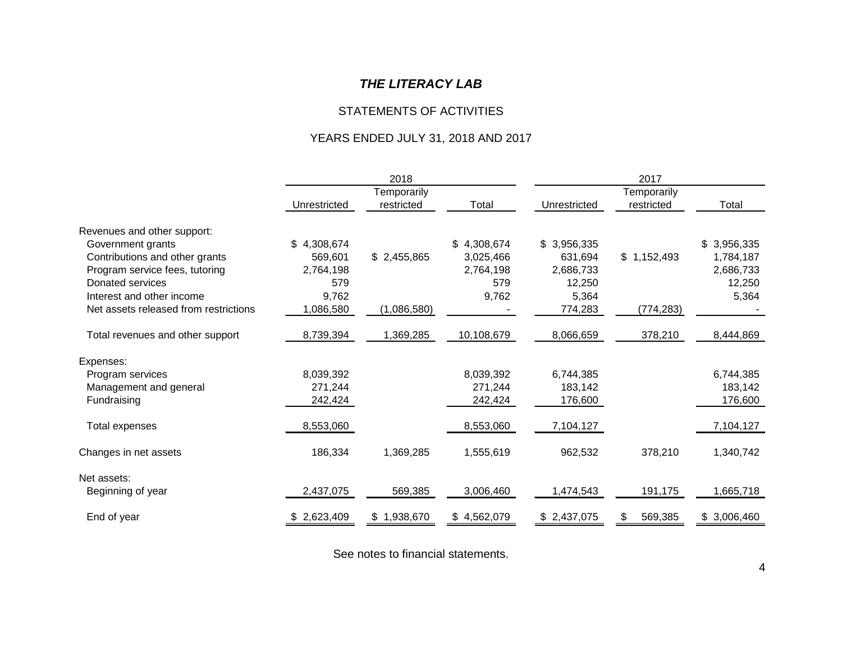## STATEMENTS OF ACTIVITIES

## YEARS ENDED JULY 31, 2018 AND 2017

|                                       | 2018         |             |             | 2017         |             |             |
|---------------------------------------|--------------|-------------|-------------|--------------|-------------|-------------|
|                                       |              | Temporarily |             |              | Temporarily |             |
|                                       | Unrestricted | restricted  | Total       | Unrestricted | restricted  | Total       |
| Revenues and other support:           |              |             |             |              |             |             |
| Government grants                     | \$4,308,674  |             | \$4,308,674 | \$3,956,335  |             | \$3,956,335 |
| Contributions and other grants        | 569,601      | \$2,455,865 | 3,025,466   | 631,694      | \$1,152,493 | 1,784,187   |
| Program service fees, tutoring        | 2,764,198    |             | 2,764,198   | 2,686,733    |             | 2,686,733   |
| Donated services                      | 579          |             | 579         | 12,250       |             | 12,250      |
| Interest and other income             | 9,762        |             | 9,762       | 5,364        |             | 5,364       |
| Net assets released from restrictions | 1,086,580    | (1,086,580) |             | 774,283      | (774, 283)  |             |
| Total revenues and other support      | 8,739,394    | 1,369,285   | 10,108,679  | 8,066,659    | 378,210     | 8,444,869   |
| Expenses:                             |              |             |             |              |             |             |
| Program services                      | 8,039,392    |             | 8,039,392   | 6,744,385    |             | 6,744,385   |
| Management and general                | 271,244      |             | 271,244     | 183,142      |             | 183,142     |
| Fundraising                           | 242,424      |             | 242,424     | 176,600      |             | 176,600     |
| Total expenses                        | 8,553,060    |             | 8,553,060   | 7,104,127    |             | 7,104,127   |
| Changes in net assets                 | 186,334      | 1,369,285   | 1,555,619   | 962,532      | 378,210     | 1,340,742   |
| Net assets:                           |              |             |             |              |             |             |
| Beginning of year                     | 2,437,075    | 569,385     | 3,006,460   | 1,474,543    | 191,175     | 1,665,718   |
| End of year                           | \$2,623,409  | \$1,938,670 | \$4,562,079 | \$2,437,075  | 569,385     | \$3,006,460 |

See notes to financial statements.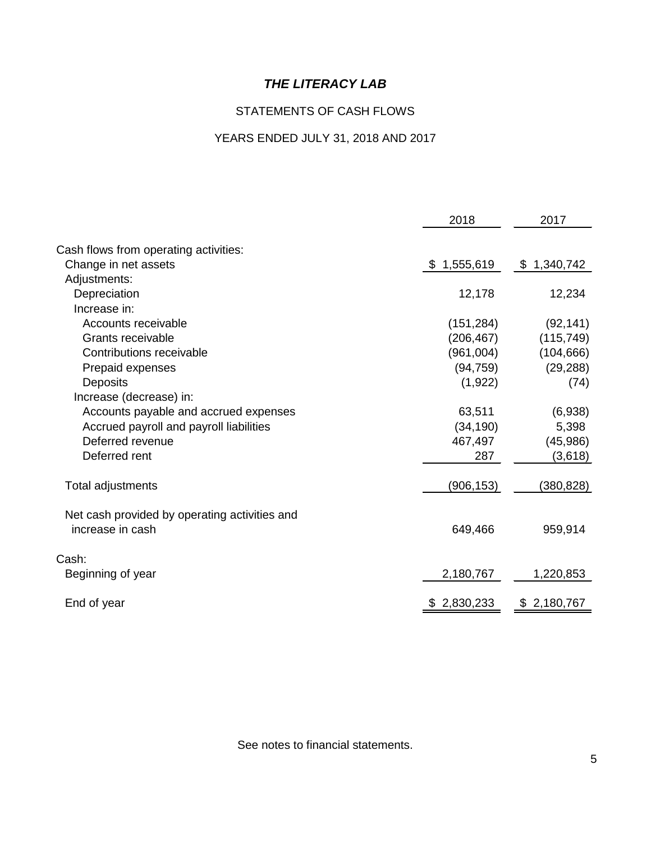## STATEMENTS OF CASH FLOWS

## YEARS ENDED JULY 31, 2018 AND 2017

|                                               | 2018        | 2017        |
|-----------------------------------------------|-------------|-------------|
|                                               |             |             |
| Cash flows from operating activities:         |             |             |
| Change in net assets                          | \$1,555,619 | \$1,340,742 |
| Adjustments:                                  |             |             |
| Depreciation                                  | 12,178      | 12,234      |
| Increase in:                                  |             |             |
| Accounts receivable                           | (151, 284)  | (92, 141)   |
| Grants receivable                             | (206, 467)  | (115, 749)  |
| Contributions receivable                      | (961,004)   | (104, 666)  |
| Prepaid expenses                              | (94, 759)   | (29, 288)   |
| <b>Deposits</b>                               | (1,922)     | (74)        |
| Increase (decrease) in:                       |             |             |
| Accounts payable and accrued expenses         | 63,511      | (6,938)     |
| Accrued payroll and payroll liabilities       | (34, 190)   | 5,398       |
| Deferred revenue                              | 467,497     | (45,986)    |
| Deferred rent                                 | 287         | (3,618)     |
| Total adjustments                             | (906, 153)  | (380,828)   |
|                                               |             |             |
| Net cash provided by operating activities and |             |             |
| increase in cash                              | 649,466     | 959,914     |
| Cash:                                         |             |             |
| Beginning of year                             | 2,180,767   | 1,220,853   |
| End of year                                   | \$2,830,233 | \$2,180,767 |
|                                               |             |             |

See notes to financial statements.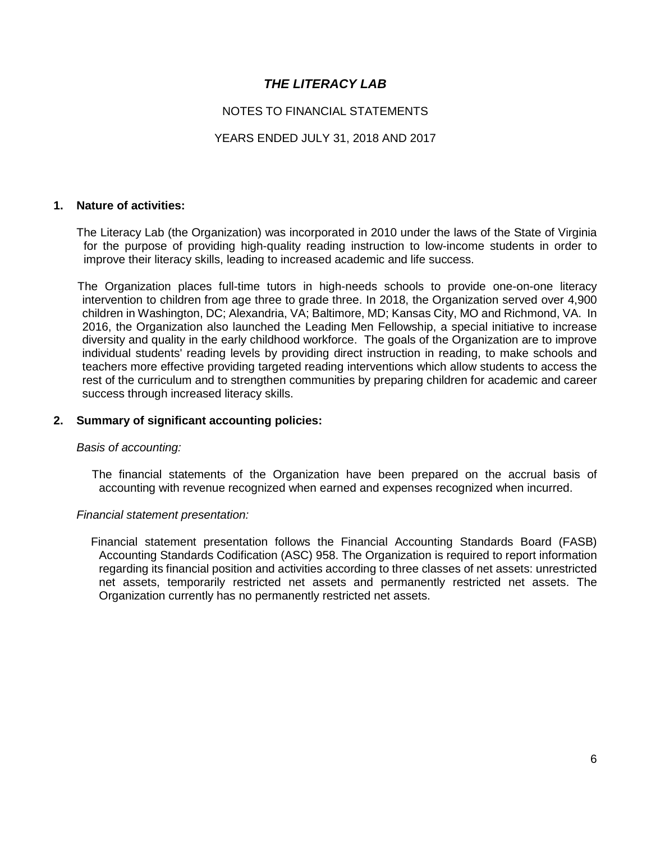## NOTES TO FINANCIAL STATEMENTS

## YEARS ENDED JULY 31, 2018 AND 2017

### **1. Nature of activities:**

The Literacy Lab (the Organization) was incorporated in 2010 under the laws of the State of Virginia for the purpose of providing high-quality reading instruction to low-income students in order to improve their literacy skills, leading to increased academic and life success.

The Organization places full-time tutors in high-needs schools to provide one-on-one literacy intervention to children from age three to grade three. In 2018, the Organization served over 4,900 children in Washington, DC; Alexandria, VA; Baltimore, MD; Kansas City, MO and Richmond, VA. In 2016, the Organization also launched the Leading Men Fellowship, a special initiative to increase diversity and quality in the early childhood workforce. The goals of the Organization are to improve individual students' reading levels by providing direct instruction in reading, to make schools and teachers more effective providing targeted reading interventions which allow students to access the rest of the curriculum and to strengthen communities by preparing children for academic and career success through increased literacy skills.

#### **2. Summary of significant accounting policies:**

### *Basis of accounting:*

The financial statements of the Organization have been prepared on the accrual basis of accounting with revenue recognized when earned and expenses recognized when incurred.

#### *Financial statement presentation:*

Financial statement presentation follows the Financial Accounting Standards Board (FASB) Accounting Standards Codification (ASC) 958. The Organization is required to report information regarding its financial position and activities according to three classes of net assets: unrestricted net assets, temporarily restricted net assets and permanently restricted net assets. The Organization currently has no permanently restricted net assets.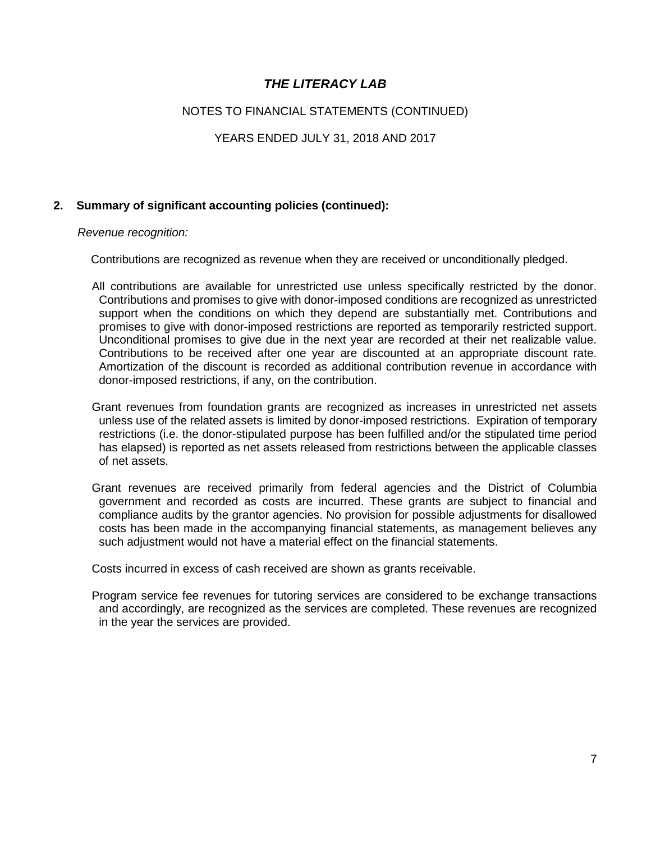## NOTES TO FINANCIAL STATEMENTS (CONTINUED)

### YEARS ENDED JULY 31, 2018 AND 2017

### **2. Summary of significant accounting policies (continued):**

#### *Revenue recognition:*

Contributions are recognized as revenue when they are received or unconditionally pledged.

- All contributions are available for unrestricted use unless specifically restricted by the donor. Contributions and promises to give with donor-imposed conditions are recognized as unrestricted support when the conditions on which they depend are substantially met. Contributions and promises to give with donor-imposed restrictions are reported as temporarily restricted support. Unconditional promises to give due in the next year are recorded at their net realizable value. Contributions to be received after one year are discounted at an appropriate discount rate. Amortization of the discount is recorded as additional contribution revenue in accordance with donor-imposed restrictions, if any, on the contribution.
- Grant revenues from foundation grants are recognized as increases in unrestricted net assets unless use of the related assets is limited by donor-imposed restrictions. Expiration of temporary restrictions (i.e. the donor-stipulated purpose has been fulfilled and/or the stipulated time period has elapsed) is reported as net assets released from restrictions between the applicable classes of net assets.
- Grant revenues are received primarily from federal agencies and the District of Columbia government and recorded as costs are incurred. These grants are subject to financial and compliance audits by the grantor agencies. No provision for possible adjustments for disallowed costs has been made in the accompanying financial statements, as management believes any such adjustment would not have a material effect on the financial statements.

Costs incurred in excess of cash received are shown as grants receivable.

Program service fee revenues for tutoring services are considered to be exchange transactions and accordingly, are recognized as the services are completed. These revenues are recognized in the year the services are provided.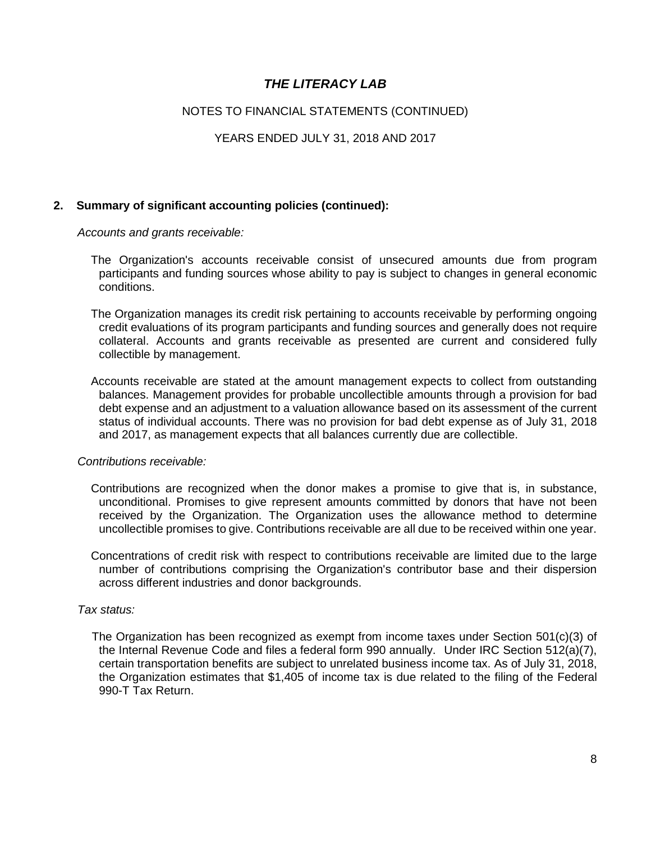## NOTES TO FINANCIAL STATEMENTS (CONTINUED)

### YEARS ENDED JULY 31, 2018 AND 2017

### **2. Summary of significant accounting policies (continued):**

*Accounts and grants receivable:*

- The Organization's accounts receivable consist of unsecured amounts due from program participants and funding sources whose ability to pay is subject to changes in general economic conditions.
- The Organization manages its credit risk pertaining to accounts receivable by performing ongoing credit evaluations of its program participants and funding sources and generally does not require collateral. Accounts and grants receivable as presented are current and considered fully collectible by management.
- Accounts receivable are stated at the amount management expects to collect from outstanding balances. Management provides for probable uncollectible amounts through a provision for bad debt expense and an adjustment to a valuation allowance based on its assessment of the current status of individual accounts. There was no provision for bad debt expense as of July 31, 2018 and 2017, as management expects that all balances currently due are collectible.

#### *Contributions receivable:*

- Contributions are recognized when the donor makes a promise to give that is, in substance, unconditional. Promises to give represent amounts committed by donors that have not been received by the Organization. The Organization uses the allowance method to determine uncollectible promises to give. Contributions receivable are all due to be received within one year.
- Concentrations of credit risk with respect to contributions receivable are limited due to the large number of contributions comprising the Organization's contributor base and their dispersion across different industries and donor backgrounds.

#### *Tax status:*

The Organization has been recognized as exempt from income taxes under Section 501(c)(3) of the Internal Revenue Code and files a federal form 990 annually. Under IRC Section 512(a)(7), certain transportation benefits are subject to unrelated business income tax. As of July 31, 2018, the Organization estimates that \$1,405 of income tax is due related to the filing of the Federal 990-T Tax Return.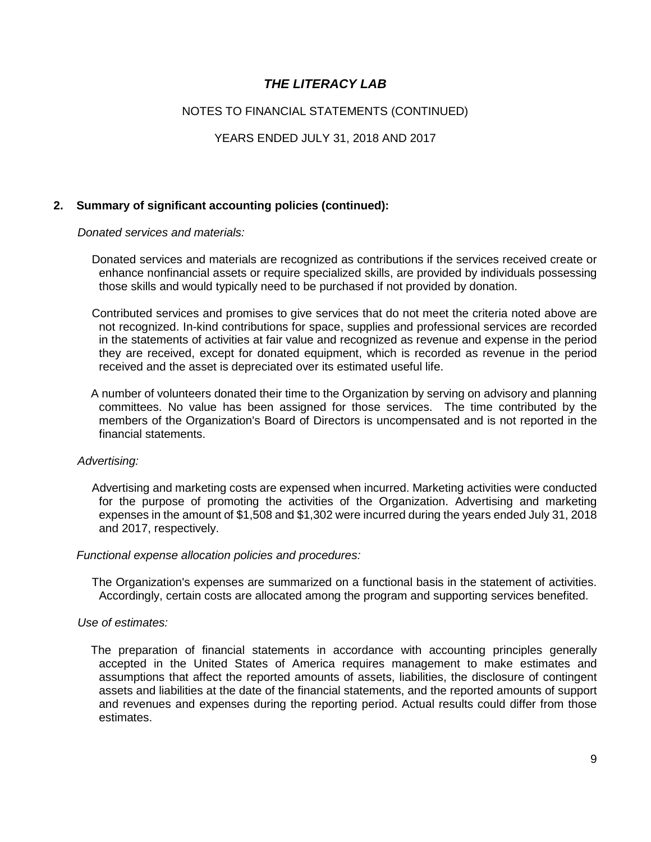## NOTES TO FINANCIAL STATEMENTS (CONTINUED)

### YEARS ENDED JULY 31, 2018 AND 2017

### **2. Summary of significant accounting policies (continued):**

#### *Donated services and materials:*

Donated services and materials are recognized as contributions if the services received create or enhance nonfinancial assets or require specialized skills, are provided by individuals possessing those skills and would typically need to be purchased if not provided by donation.

Contributed services and promises to give services that do not meet the criteria noted above are not recognized. In-kind contributions for space, supplies and professional services are recorded in the statements of activities at fair value and recognized as revenue and expense in the period they are received, except for donated equipment, which is recorded as revenue in the period received and the asset is depreciated over its estimated useful life.

A number of volunteers donated their time to the Organization by serving on advisory and planning committees. No value has been assigned for those services. The time contributed by the members of the Organization's Board of Directors is uncompensated and is not reported in the financial statements.

#### *Advertising:*

Advertising and marketing costs are expensed when incurred. Marketing activities were conducted for the purpose of promoting the activities of the Organization. Advertising and marketing expenses in the amount of \$1,508 and \$1,302 were incurred during the years ended July 31, 2018 and 2017, respectively.

#### *Functional expense allocation policies and procedures:*

The Organization's expenses are summarized on a functional basis in the statement of activities. Accordingly, certain costs are allocated among the program and supporting services benefited.

#### *Use of estimates:*

The preparation of financial statements in accordance with accounting principles generally accepted in the United States of America requires management to make estimates and assumptions that affect the reported amounts of assets, liabilities, the disclosure of contingent assets and liabilities at the date of the financial statements, and the reported amounts of support and revenues and expenses during the reporting period. Actual results could differ from those estimates.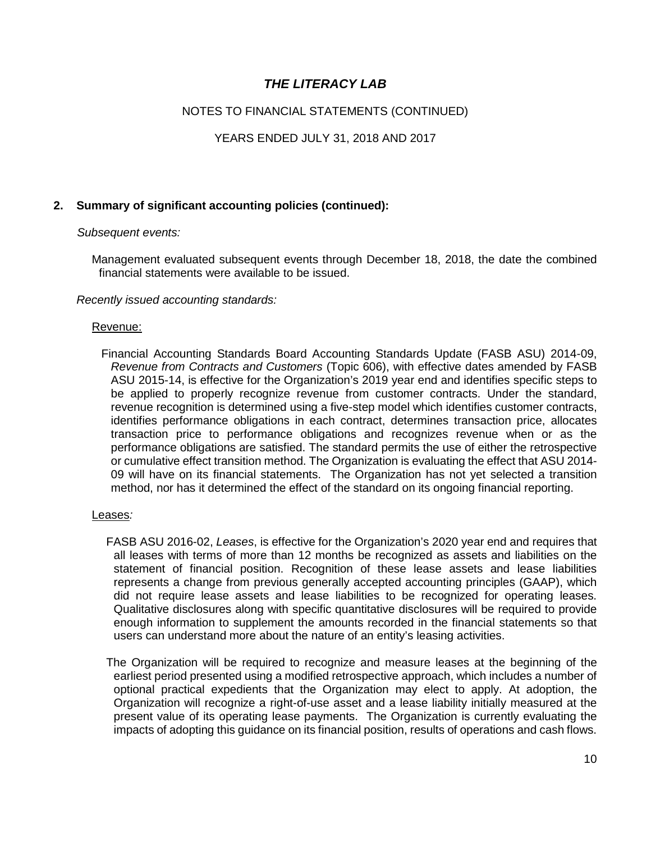## NOTES TO FINANCIAL STATEMENTS (CONTINUED)

## YEARS ENDED JULY 31, 2018 AND 2017

### **2. Summary of significant accounting policies (continued):**

#### *Subsequent events:*

Management evaluated subsequent events through December 18, 2018, the date the combined financial statements were available to be issued.

#### *Recently issued accounting standards:*

#### Revenue:

Financial Accounting Standards Board Accounting Standards Update (FASB ASU) 2014-09, *Revenue from Contracts and Customers* (Topic 606), with effective dates amended by FASB ASU 2015-14, is effective for the Organization's 2019 year end and identifies specific steps to be applied to properly recognize revenue from customer contracts. Under the standard, revenue recognition is determined using a five-step model which identifies customer contracts, identifies performance obligations in each contract, determines transaction price, allocates transaction price to performance obligations and recognizes revenue when or as the performance obligations are satisfied. The standard permits the use of either the retrospective or cumulative effect transition method. The Organization is evaluating the effect that ASU 2014- 09 will have on its financial statements. The Organization has not yet selected a transition method, nor has it determined the effect of the standard on its ongoing financial reporting.

#### Leases*:*

- FASB ASU 2016-02, *Leases*, is effective for the Organization's 2020 year end and requires that all leases with terms of more than 12 months be recognized as assets and liabilities on the statement of financial position. Recognition of these lease assets and lease liabilities represents a change from previous generally accepted accounting principles (GAAP), which did not require lease assets and lease liabilities to be recognized for operating leases. Qualitative disclosures along with specific quantitative disclosures will be required to provide enough information to supplement the amounts recorded in the financial statements so that users can understand more about the nature of an entity's leasing activities.
- The Organization will be required to recognize and measure leases at the beginning of the earliest period presented using a modified retrospective approach, which includes a number of optional practical expedients that the Organization may elect to apply. At adoption, the Organization will recognize a right-of-use asset and a lease liability initially measured at the present value of its operating lease payments. The Organization is currently evaluating the impacts of adopting this guidance on its financial position, results of operations and cash flows.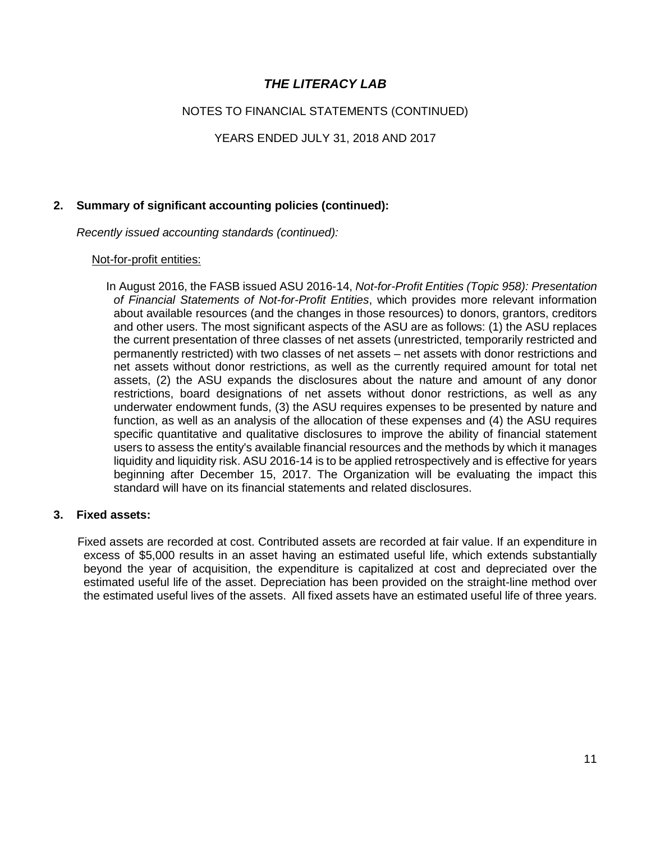## NOTES TO FINANCIAL STATEMENTS (CONTINUED)

## YEARS ENDED JULY 31, 2018 AND 2017

## **2. Summary of significant accounting policies (continued):**

*Recently issued accounting standards (continued):*

#### Not-for-profit entities:

In August 2016, the FASB issued ASU 2016-14, *Not-for-Profit Entities (Topic 958): Presentation of Financial Statements of Not-for-Profit Entities*, which provides more relevant information about available resources (and the changes in those resources) to donors, grantors, creditors and other users. The most significant aspects of the ASU are as follows: (1) the ASU replaces the current presentation of three classes of net assets (unrestricted, temporarily restricted and permanently restricted) with two classes of net assets – net assets with donor restrictions and net assets without donor restrictions, as well as the currently required amount for total net assets, (2) the ASU expands the disclosures about the nature and amount of any donor restrictions, board designations of net assets without donor restrictions, as well as any underwater endowment funds, (3) the ASU requires expenses to be presented by nature and function, as well as an analysis of the allocation of these expenses and (4) the ASU requires specific quantitative and qualitative disclosures to improve the ability of financial statement users to assess the entity's available financial resources and the methods by which it manages liquidity and liquidity risk. ASU 2016-14 is to be applied retrospectively and is effective for years beginning after December 15, 2017. The Organization will be evaluating the impact this standard will have on its financial statements and related disclosures.

## **3. Fixed assets:**

Fixed assets are recorded at cost. Contributed assets are recorded at fair value. If an expenditure in excess of \$5,000 results in an asset having an estimated useful life, which extends substantially beyond the year of acquisition, the expenditure is capitalized at cost and depreciated over the estimated useful life of the asset. Depreciation has been provided on the straight-line method over the estimated useful lives of the assets. All fixed assets have an estimated useful life of three years.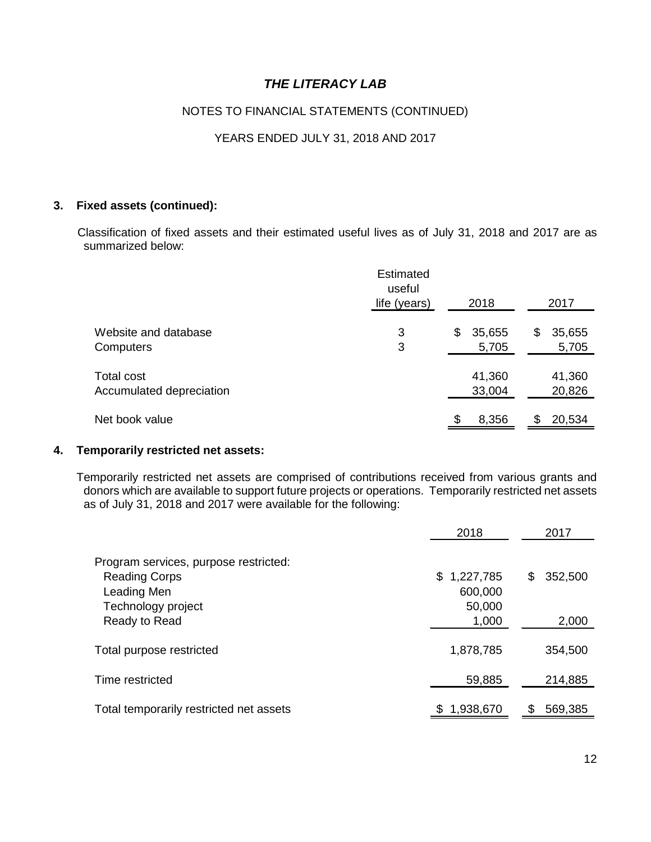## NOTES TO FINANCIAL STATEMENTS (CONTINUED)

## YEARS ENDED JULY 31, 2018 AND 2017

## **3. Fixed assets (continued):**

Classification of fixed assets and their estimated useful lives as of July 31, 2018 and 2017 are as summarized below:

|                                        | Estimated<br>useful<br>life (years) | 2018                  | 2017                  |
|----------------------------------------|-------------------------------------|-----------------------|-----------------------|
| Website and database<br>Computers      | 3<br>3                              | \$<br>35,655<br>5,705 | \$<br>35,655<br>5,705 |
| Total cost<br>Accumulated depreciation |                                     | 41,360<br>33,004      | 41,360<br>20,826      |
| Net book value                         |                                     | 8,356                 | 20,534<br>\$.         |

## **4. Temporarily restricted net assets:**

Temporarily restricted net assets are comprised of contributions received from various grants and donors which are available to support future projects or operations. Temporarily restricted net assets as of July 31, 2018 and 2017 were available for the following:

|                                         | 2018        | 2017         |
|-----------------------------------------|-------------|--------------|
| Program services, purpose restricted:   |             |              |
| <b>Reading Corps</b>                    | \$1,227,785 | 352,500<br>S |
| Leading Men                             | 600,000     |              |
| Technology project                      | 50,000      |              |
| Ready to Read                           | 1,000       | 2,000        |
| Total purpose restricted                | 1,878,785   | 354,500      |
| Time restricted                         | 59,885      | 214,885      |
| Total temporarily restricted net assets | 1,938,670   | 569,385      |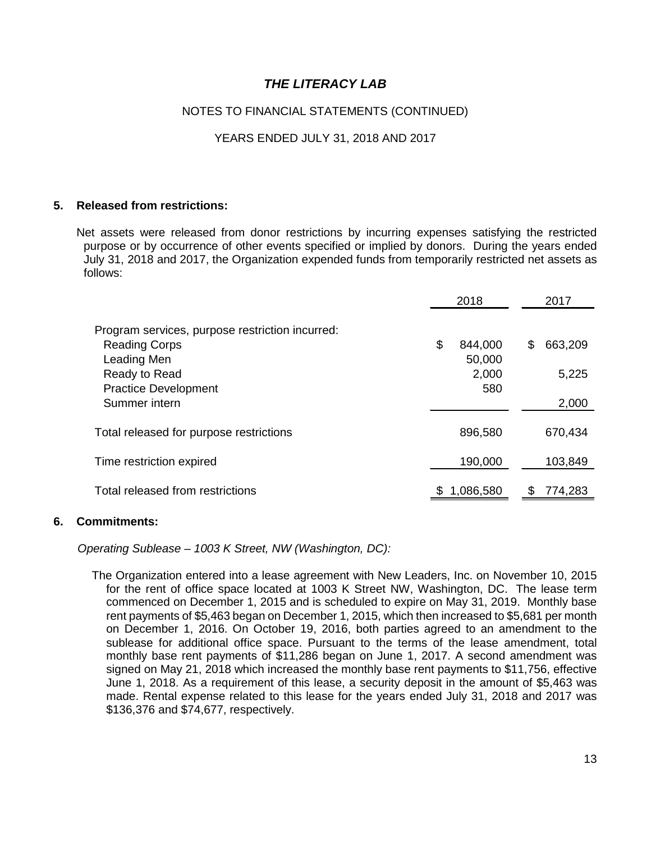## NOTES TO FINANCIAL STATEMENTS (CONTINUED)

## YEARS ENDED JULY 31, 2018 AND 2017

#### **5. Released from restrictions:**

Net assets were released from donor restrictions by incurring expenses satisfying the restricted purpose or by occurrence of other events specified or implied by donors. During the years ended July 31, 2018 and 2017, the Organization expended funds from temporarily restricted net assets as follows:

|                                                 | 2018 |                   | 2017 |         |
|-------------------------------------------------|------|-------------------|------|---------|
| Program services, purpose restriction incurred: |      |                   |      |         |
| <b>Reading Corps</b><br>Leading Men             | \$   | 844,000<br>50,000 | S    | 663,209 |
| Ready to Read                                   |      | 2,000             |      | 5,225   |
| <b>Practice Development</b><br>Summer intern    |      | 580               |      | 2,000   |
| Total released for purpose restrictions         |      | 896,580           |      | 670,434 |
| Time restriction expired                        |      | 190,000           |      | 103,849 |
| Total released from restrictions                |      | 1,086,580         |      | 774,283 |

#### **6. Commitments:**

*Operating Sublease – 1003 K Street, NW (Washington, DC):*

The Organization entered into a lease agreement with New Leaders, Inc. on November 10, 2015 for the rent of office space located at 1003 K Street NW, Washington, DC. The lease term commenced on December 1, 2015 and is scheduled to expire on May 31, 2019. Monthly base rent payments of \$5,463 began on December 1, 2015, which then increased to \$5,681 per month on December 1, 2016. On October 19, 2016, both parties agreed to an amendment to the sublease for additional office space. Pursuant to the terms of the lease amendment, total monthly base rent payments of \$11,286 began on June 1, 2017. A second amendment was signed on May 21, 2018 which increased the monthly base rent payments to \$11,756, effective June 1, 2018. As a requirement of this lease, a security deposit in the amount of \$5,463 was made. Rental expense related to this lease for the years ended July 31, 2018 and 2017 was \$136,376 and \$74,677, respectively.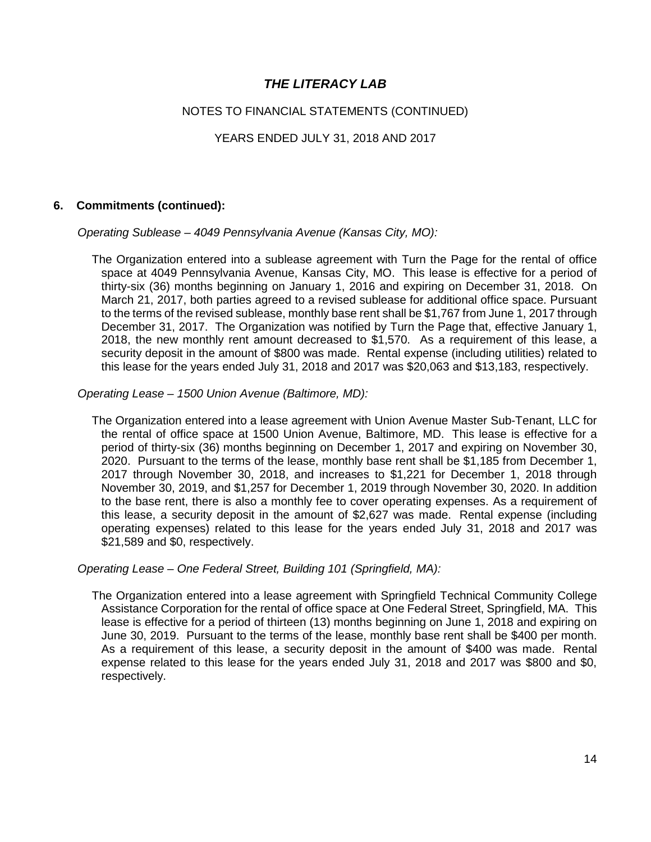## NOTES TO FINANCIAL STATEMENTS (CONTINUED)

## YEARS ENDED JULY 31, 2018 AND 2017

### **6. Commitments (continued):**

*Operating Sublease – 4049 Pennsylvania Avenue (Kansas City, MO):*

The Organization entered into a sublease agreement with Turn the Page for the rental of office space at 4049 Pennsylvania Avenue, Kansas City, MO. This lease is effective for a period of thirty-six (36) months beginning on January 1, 2016 and expiring on December 31, 2018. On March 21, 2017, both parties agreed to a revised sublease for additional office space. Pursuant to the terms of the revised sublease, monthly base rent shall be \$1,767 from June 1, 2017 through December 31, 2017. The Organization was notified by Turn the Page that, effective January 1, 2018, the new monthly rent amount decreased to \$1,570. As a requirement of this lease, a security deposit in the amount of \$800 was made. Rental expense (including utilities) related to this lease for the years ended July 31, 2018 and 2017 was \$20,063 and \$13,183, respectively.

*Operating Lease – 1500 Union Avenue (Baltimore, MD):*

The Organization entered into a lease agreement with Union Avenue Master Sub-Tenant, LLC for the rental of office space at 1500 Union Avenue, Baltimore, MD. This lease is effective for a period of thirty-six (36) months beginning on December 1, 2017 and expiring on November 30, 2020. Pursuant to the terms of the lease, monthly base rent shall be \$1,185 from December 1, 2017 through November 30, 2018, and increases to \$1,221 for December 1, 2018 through November 30, 2019, and \$1,257 for December 1, 2019 through November 30, 2020. In addition to the base rent, there is also a monthly fee to cover operating expenses. As a requirement of this lease, a security deposit in the amount of \$2,627 was made. Rental expense (including operating expenses) related to this lease for the years ended July 31, 2018 and 2017 was \$21,589 and \$0, respectively.

*Operating Lease – One Federal Street, Building 101 (Springfield, MA):*

The Organization entered into a lease agreement with Springfield Technical Community College Assistance Corporation for the rental of office space at One Federal Street, Springfield, MA. This lease is effective for a period of thirteen (13) months beginning on June 1, 2018 and expiring on June 30, 2019. Pursuant to the terms of the lease, monthly base rent shall be \$400 per month. As a requirement of this lease, a security deposit in the amount of \$400 was made. Rental expense related to this lease for the years ended July 31, 2018 and 2017 was \$800 and \$0, respectively.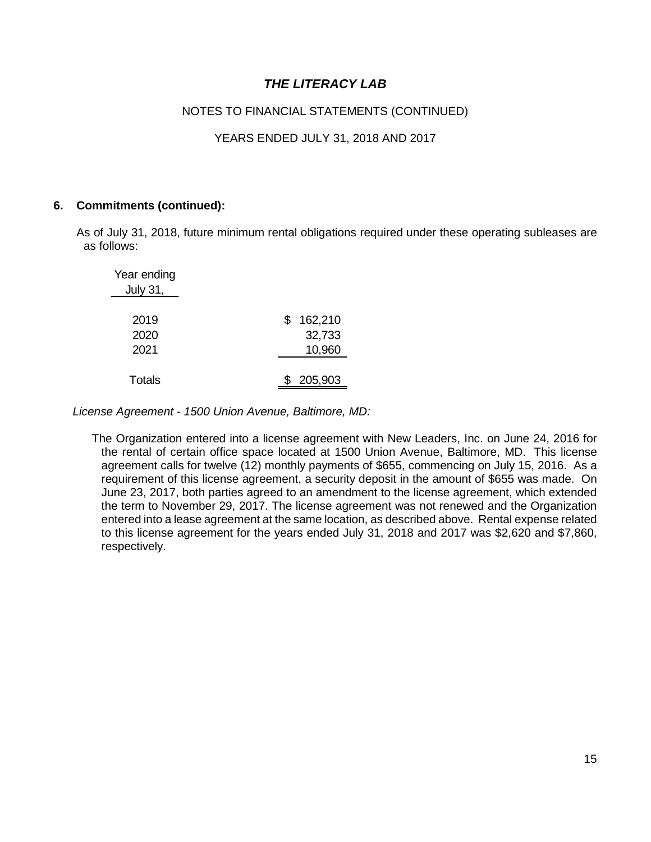## NOTES TO FINANCIAL STATEMENTS (CONTINUED)

## YEARS ENDED JULY 31, 2018 AND 2017

#### **6. Commitments (continued):**

As of July 31, 2018, future minimum rental obligations required under these operating subleases are as follows:

| Year ending<br><b>July 31,</b> |               |
|--------------------------------|---------------|
| 2019                           | 162,210<br>\$ |
| 2020                           | 32,733        |
| 2021                           | 10,960        |
| <b>Totals</b>                  | 205,903       |

*License Agreement - 1500 Union Avenue, Baltimore, MD:*

The Organization entered into a license agreement with New Leaders, Inc. on June 24, 2016 for the rental of certain office space located at 1500 Union Avenue, Baltimore, MD. This license agreement calls for twelve (12) monthly payments of \$655, commencing on July 15, 2016. As a requirement of this license agreement, a security deposit in the amount of \$655 was made. On June 23, 2017, both parties agreed to an amendment to the license agreement, which extended the term to November 29, 2017. The license agreement was not renewed and the Organization entered into a lease agreement at the same location, as described above. Rental expense related to this license agreement for the years ended July 31, 2018 and 2017 was \$2,620 and \$7,860, respectively.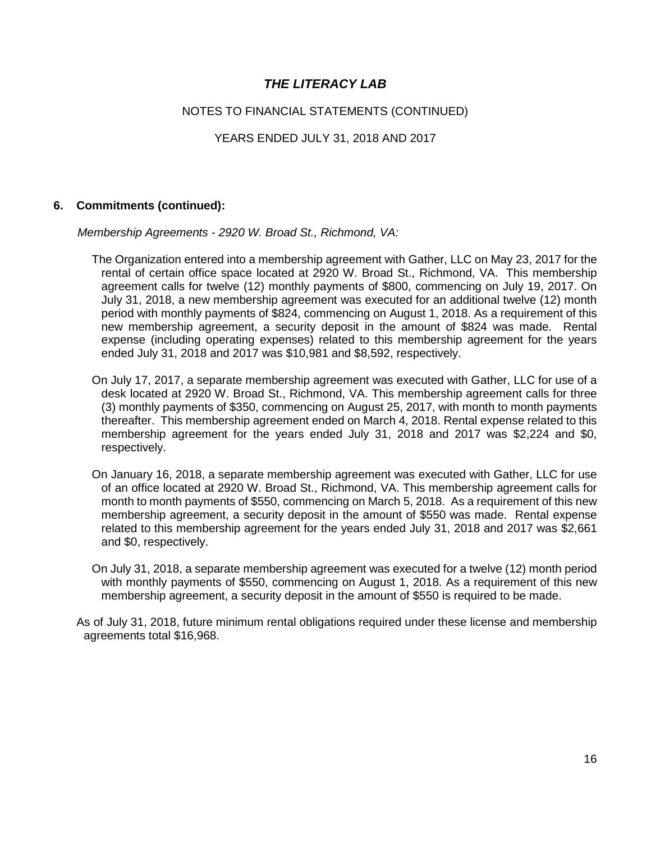## NOTES TO FINANCIAL STATEMENTS (CONTINUED)

## YEARS ENDED JULY 31, 2018 AND 2017

### **6. Commitments (continued):**

*Membership Agreements - 2920 W. Broad St., Richmond, VA:*

- The Organization entered into a membership agreement with Gather, LLC on May 23, 2017 for the rental of certain office space located at 2920 W. Broad St., Richmond, VA. This membership agreement calls for twelve (12) monthly payments of \$800, commencing on July 19, 2017. On July 31, 2018, a new membership agreement was executed for an additional twelve (12) month period with monthly payments of \$824, commencing on August 1, 2018. As a requirement of this new membership agreement, a security deposit in the amount of \$824 was made. Rental expense (including operating expenses) related to this membership agreement for the years ended July 31, 2018 and 2017 was \$10,981 and \$8,592, respectively.
- On July 17, 2017, a separate membership agreement was executed with Gather, LLC for use of a desk located at 2920 W. Broad St., Richmond, VA. This membership agreement calls for three (3) monthly payments of \$350, commencing on August 25, 2017, with month to month payments thereafter. This membership agreement ended on March 4, 2018. Rental expense related to this membership agreement for the years ended July 31, 2018 and 2017 was \$2,224 and \$0, respectively.
- On January 16, 2018, a separate membership agreement was executed with Gather, LLC for use of an office located at 2920 W. Broad St., Richmond, VA. This membership agreement calls for month to month payments of \$550, commencing on March 5, 2018. As a requirement of this new membership agreement, a security deposit in the amount of \$550 was made. Rental expense related to this membership agreement for the years ended July 31, 2018 and 2017 was \$2,661 and \$0, respectively.
- On July 31, 2018, a separate membership agreement was executed for a twelve (12) month period with monthly payments of \$550, commencing on August 1, 2018. As a requirement of this new membership agreement, a security deposit in the amount of \$550 is required to be made.

As of July 31, 2018, future minimum rental obligations required under these license and membership agreements total \$16,968.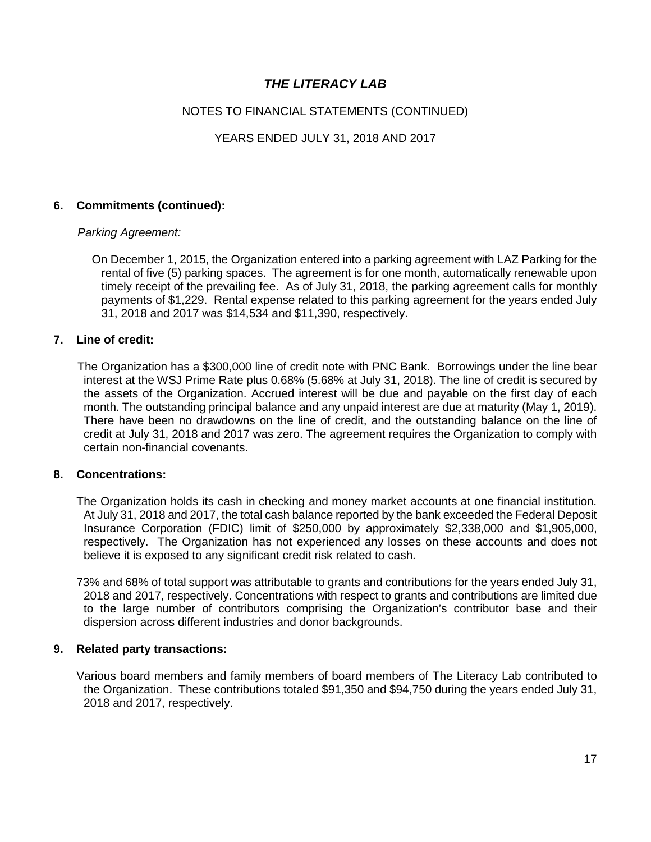## NOTES TO FINANCIAL STATEMENTS (CONTINUED)

## YEARS ENDED JULY 31, 2018 AND 2017

### **6. Commitments (continued):**

#### *Parking Agreement:*

On December 1, 2015, the Organization entered into a parking agreement with LAZ Parking for the rental of five (5) parking spaces. The agreement is for one month, automatically renewable upon timely receipt of the prevailing fee. As of July 31, 2018, the parking agreement calls for monthly payments of \$1,229. Rental expense related to this parking agreement for the years ended July 31, 2018 and 2017 was \$14,534 and \$11,390, respectively.

### **7. Line of credit:**

The Organization has a \$300,000 line of credit note with PNC Bank. Borrowings under the line bear interest at the WSJ Prime Rate plus 0.68% (5.68% at July 31, 2018). The line of credit is secured by the assets of the Organization. Accrued interest will be due and payable on the first day of each month. The outstanding principal balance and any unpaid interest are due at maturity (May 1, 2019). There have been no drawdowns on the line of credit, and the outstanding balance on the line of credit at July 31, 2018 and 2017 was zero. The agreement requires the Organization to comply with certain non-financial covenants.

#### **8. Concentrations:**

The Organization holds its cash in checking and money market accounts at one financial institution. At July 31, 2018 and 2017, the total cash balance reported by the bank exceeded the Federal Deposit Insurance Corporation (FDIC) limit of \$250,000 by approximately \$2,338,000 and \$1,905,000, respectively. The Organization has not experienced any losses on these accounts and does not believe it is exposed to any significant credit risk related to cash.

73% and 68% of total support was attributable to grants and contributions for the years ended July 31, 2018 and 2017, respectively. Concentrations with respect to grants and contributions are limited due to the large number of contributors comprising the Organization's contributor base and their dispersion across different industries and donor backgrounds.

#### **9. Related party transactions:**

Various board members and family members of board members of The Literacy Lab contributed to the Organization. These contributions totaled \$91,350 and \$94,750 during the years ended July 31, 2018 and 2017, respectively.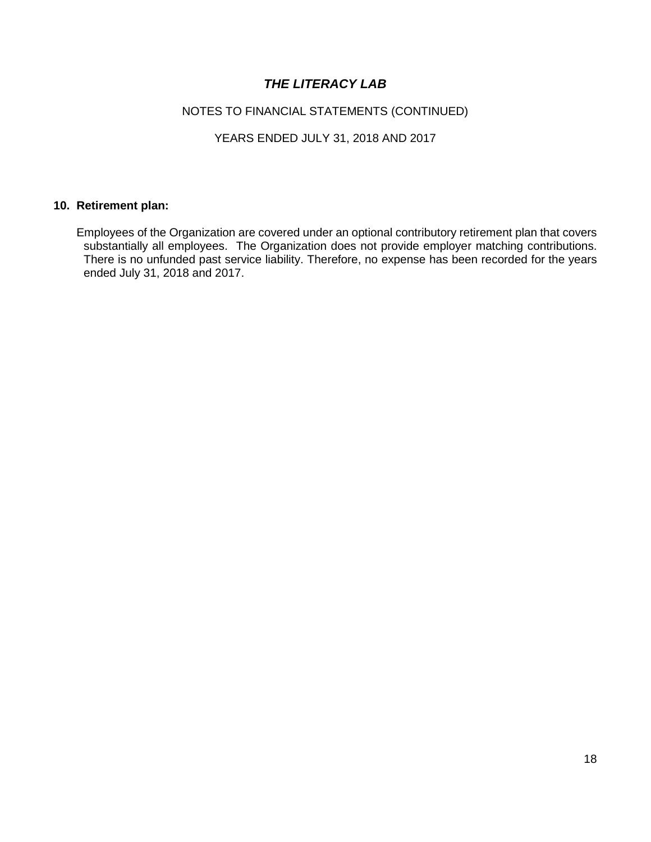## NOTES TO FINANCIAL STATEMENTS (CONTINUED)

## YEARS ENDED JULY 31, 2018 AND 2017

### **10. Retirement plan:**

Employees of the Organization are covered under an optional contributory retirement plan that covers substantially all employees. The Organization does not provide employer matching contributions. There is no unfunded past service liability. Therefore, no expense has been recorded for the years ended July 31, 2018 and 2017.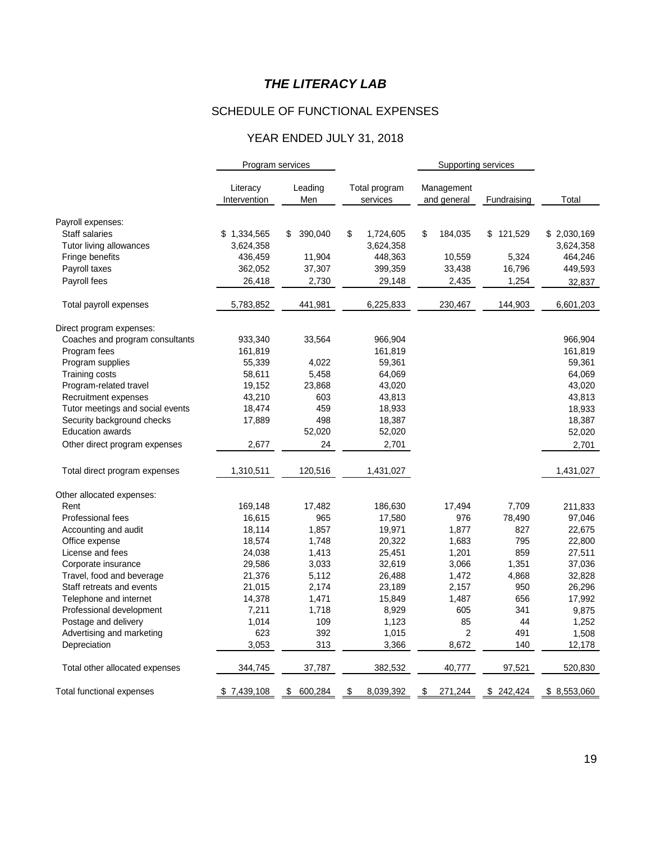## SCHEDULE OF FUNCTIONAL EXPENSES

## YEAR ENDED JULY 31, 2018

|                                  | Program services         |                |                           | Supporting services       |             |             |  |
|----------------------------------|--------------------------|----------------|---------------------------|---------------------------|-------------|-------------|--|
|                                  | Literacy<br>Intervention | Leading<br>Men | Total program<br>services | Management<br>and general | Fundraising | Total       |  |
| Payroll expenses:                |                          |                |                           |                           |             |             |  |
| <b>Staff salaries</b>            | \$1,334,565              | 390,040<br>\$  | \$<br>1,724,605           | \$<br>184,035             | \$121,529   | \$2,030,169 |  |
| Tutor living allowances          | 3,624,358                |                | 3,624,358                 |                           |             | 3,624,358   |  |
| Fringe benefits                  | 436,459                  | 11,904         | 448,363                   | 10,559                    | 5,324       | 464,246     |  |
| Payroll taxes                    | 362,052                  | 37,307         | 399,359                   | 33,438                    | 16,796      | 449,593     |  |
| Payroll fees                     | 26,418                   | 2,730          | 29,148                    | 2,435                     | 1,254       | 32,837      |  |
| Total payroll expenses           | 5,783,852                | 441,981        | 6,225,833                 | 230,467                   | 144,903     | 6,601,203   |  |
| Direct program expenses:         |                          |                |                           |                           |             |             |  |
| Coaches and program consultants  | 933,340                  | 33,564         | 966,904                   |                           |             | 966,904     |  |
| Program fees                     | 161,819                  |                | 161,819                   |                           |             | 161,819     |  |
| Program supplies                 | 55,339                   | 4,022          | 59,361                    |                           |             | 59,361      |  |
| Training costs                   | 58,611                   | 5,458          | 64,069                    |                           |             | 64,069      |  |
| Program-related travel           | 19,152                   | 23,868         | 43,020                    |                           |             | 43,020      |  |
| Recruitment expenses             | 43,210                   | 603            | 43,813                    |                           |             | 43,813      |  |
| Tutor meetings and social events | 18,474                   | 459            | 18,933                    |                           |             | 18,933      |  |
| Security background checks       | 17,889                   | 498            | 18,387                    |                           |             | 18,387      |  |
| <b>Education awards</b>          |                          | 52,020         | 52,020                    |                           |             | 52,020      |  |
| Other direct program expenses    | 2,677                    | 24             | 2,701                     |                           |             | 2,701       |  |
| Total direct program expenses    | 1,310,511                | 120,516        | 1,431,027                 |                           |             | 1,431,027   |  |
| Other allocated expenses:        |                          |                |                           |                           |             |             |  |
| Rent                             | 169,148                  | 17,482         | 186,630                   | 17,494                    | 7,709       | 211,833     |  |
| Professional fees                | 16,615                   | 965            | 17,580                    | 976                       | 78,490      | 97,046      |  |
| Accounting and audit             | 18,114                   | 1,857          | 19,971                    | 1,877                     | 827         | 22,675      |  |
| Office expense                   | 18,574                   | 1,748          | 20,322                    | 1,683                     | 795         | 22,800      |  |
| License and fees                 | 24,038                   | 1,413          | 25,451                    | 1,201                     | 859         | 27,511      |  |
| Corporate insurance              | 29,586                   | 3,033          | 32,619                    | 3,066                     | 1,351       | 37,036      |  |
| Travel, food and beverage        | 21,376                   | 5,112          | 26,488                    | 1,472                     | 4,868       | 32,828      |  |
| Staff retreats and events        | 21,015                   | 2,174          | 23,189                    | 2,157                     | 950         | 26,296      |  |
| Telephone and internet           | 14,378                   | 1,471          | 15,849                    | 1,487                     | 656         | 17,992      |  |
| Professional development         | 7,211                    | 1,718          | 8,929                     | 605                       | 341         | 9,875       |  |
| Postage and delivery             | 1,014                    | 109            | 1,123                     | 85                        | 44          | 1,252       |  |
| Advertising and marketing        | 623                      | 392            | 1,015                     | $\overline{2}$            | 491         | 1,508       |  |
| Depreciation                     | 3,053                    | 313            | 3,366                     | 8,672                     | 140         | 12,178      |  |
| Total other allocated expenses   | 344,745                  | 37,787         | 382,532                   | 40,777                    | 97,521      | 520,830     |  |
| Total functional expenses        | \$7,439,108              | 600,284<br>\$  | 8,039,392<br>\$           | 271,244<br>\$             | \$242,424   | \$8,553,060 |  |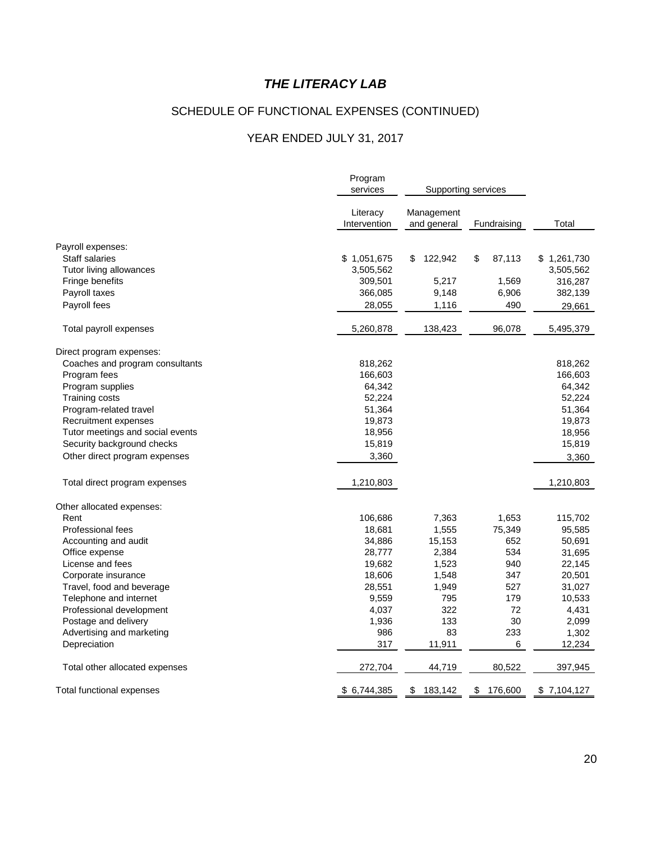## SCHEDULE OF FUNCTIONAL EXPENSES (CONTINUED)

# YEAR ENDED JULY 31, 2017

|                                  | Program<br>services      | Supporting services       |              |             |
|----------------------------------|--------------------------|---------------------------|--------------|-------------|
|                                  | Literacy<br>Intervention | Management<br>and general | Fundraising  | Total       |
| Payroll expenses:                |                          |                           |              |             |
| <b>Staff salaries</b>            | \$1,051,675              | 122,942<br>\$             | \$<br>87,113 | \$1,261,730 |
| Tutor living allowances          | 3,505,562                |                           |              | 3,505,562   |
| Fringe benefits                  | 309,501                  | 5,217                     | 1,569        | 316,287     |
| Payroll taxes                    | 366,085                  | 9,148                     | 6,906        | 382,139     |
| Payroll fees                     | 28,055                   | 1,116                     | 490          | 29,661      |
| Total payroll expenses           | 5,260,878                | 138,423                   | 96,078       | 5,495,379   |
| Direct program expenses:         |                          |                           |              |             |
| Coaches and program consultants  | 818,262                  |                           |              | 818,262     |
| Program fees                     | 166,603                  |                           |              | 166,603     |
| Program supplies                 | 64,342                   |                           |              | 64,342      |
| Training costs                   | 52,224                   |                           |              | 52,224      |
| Program-related travel           | 51,364                   |                           |              | 51,364      |
| Recruitment expenses             | 19,873                   |                           |              | 19,873      |
| Tutor meetings and social events | 18,956                   |                           |              | 18,956      |
| Security background checks       | 15,819                   |                           |              | 15,819      |
| Other direct program expenses    | 3,360                    |                           |              | 3,360       |
| Total direct program expenses    | 1,210,803                |                           |              | 1,210,803   |
| Other allocated expenses:        |                          |                           |              |             |
| Rent                             | 106,686                  | 7,363                     | 1,653        | 115,702     |
| Professional fees                | 18,681                   | 1,555                     | 75,349       | 95,585      |
| Accounting and audit             | 34,886                   | 15,153                    | 652          | 50,691      |
| Office expense                   | 28,777                   | 2,384                     | 534          | 31,695      |
| License and fees                 | 19,682                   | 1,523                     | 940          | 22,145      |
| Corporate insurance              | 18,606                   | 1,548                     | 347          | 20,501      |
| Travel, food and beverage        | 28,551                   | 1,949                     | 527          | 31,027      |
| Telephone and internet           | 9,559                    | 795                       | 179          | 10,533      |
| Professional development         | 4,037                    | 322                       | 72           | 4,431       |
| Postage and delivery             | 1,936                    | 133                       | 30           | 2,099       |
| Advertising and marketing        | 986                      | 83                        | 233          | 1,302       |
| Depreciation                     | 317                      | 11,911                    | 6            | 12,234      |
| Total other allocated expenses   | 272,704                  | 44,719                    | 80,522       | 397,945     |
| Total functional expenses        | \$6,744,385              | \$183,142                 | \$176,600    | \$7,104,127 |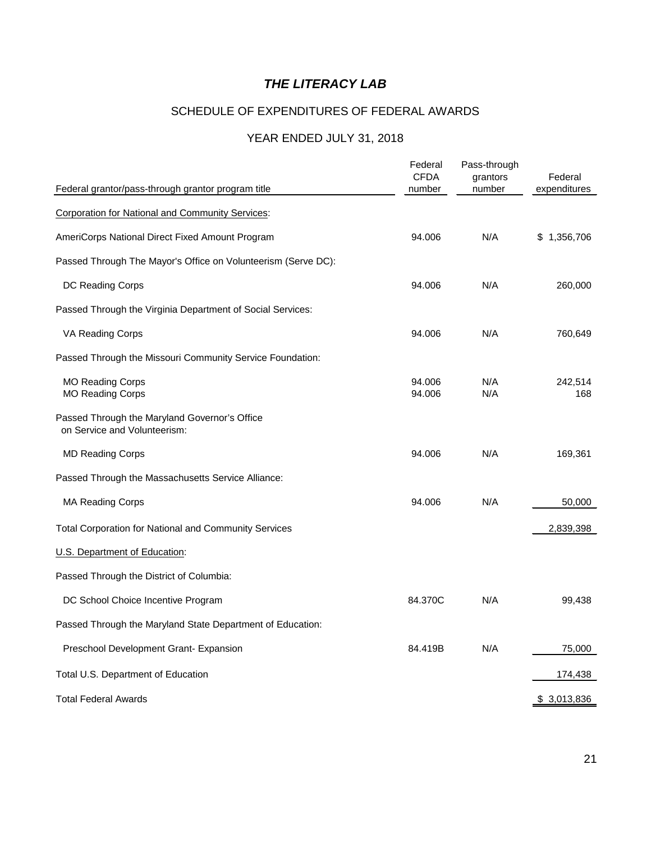## SCHEDULE OF EXPENDITURES OF FEDERAL AWARDS

## YEAR ENDED JULY 31, 2018

| Federal grantor/pass-through grantor program title                            | Federal<br><b>CFDA</b><br>number | Pass-through<br>grantors<br>number | Federal<br>expenditures |
|-------------------------------------------------------------------------------|----------------------------------|------------------------------------|-------------------------|
| <b>Corporation for National and Community Services:</b>                       |                                  |                                    |                         |
| AmeriCorps National Direct Fixed Amount Program                               | 94.006                           | N/A                                | \$1,356,706             |
| Passed Through The Mayor's Office on Volunteerism (Serve DC):                 |                                  |                                    |                         |
| DC Reading Corps                                                              | 94.006                           | N/A                                | 260,000                 |
| Passed Through the Virginia Department of Social Services:                    |                                  |                                    |                         |
| VA Reading Corps                                                              | 94.006                           | N/A                                | 760,649                 |
| Passed Through the Missouri Community Service Foundation:                     |                                  |                                    |                         |
| <b>MO Reading Corps</b><br><b>MO Reading Corps</b>                            | 94.006<br>94.006                 | N/A<br>N/A                         | 242,514<br>168          |
| Passed Through the Maryland Governor's Office<br>on Service and Volunteerism: |                                  |                                    |                         |
| <b>MD Reading Corps</b>                                                       | 94.006                           | N/A                                | 169,361                 |
| Passed Through the Massachusetts Service Alliance:                            |                                  |                                    |                         |
| <b>MA Reading Corps</b>                                                       | 94.006                           | N/A                                | 50,000                  |
| <b>Total Corporation for National and Community Services</b>                  |                                  |                                    | 2,839,398               |
| U.S. Department of Education:                                                 |                                  |                                    |                         |
| Passed Through the District of Columbia:                                      |                                  |                                    |                         |
| DC School Choice Incentive Program                                            | 84.370C                          | N/A                                | 99,438                  |
| Passed Through the Maryland State Department of Education:                    |                                  |                                    |                         |
| Preschool Development Grant- Expansion                                        | 84.419B                          | N/A                                | 75,000                  |
| Total U.S. Department of Education                                            |                                  |                                    | 174,438                 |
| <b>Total Federal Awards</b>                                                   |                                  |                                    | \$3,013,836             |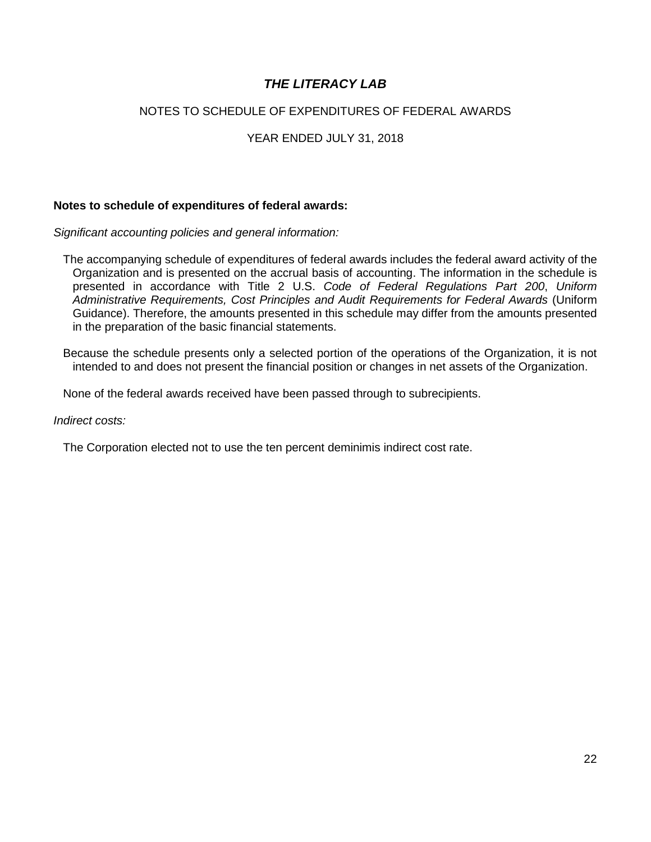## NOTES TO SCHEDULE OF EXPENDITURES OF FEDERAL AWARDS

## YEAR ENDED JULY 31, 2018

## **Notes to schedule of expenditures of federal awards:**

*Significant accounting policies and general information:* 

The accompanying schedule of expenditures of federal awards includes the federal award activity of the Organization and is presented on the accrual basis of accounting. The information in the schedule is presented in accordance with Title 2 U.S. *Code of Federal Regulations Part 200*, *Uniform Administrative Requirements, Cost Principles and Audit Requirements for Federal Awards* (Uniform Guidance). Therefore, the amounts presented in this schedule may differ from the amounts presented in the preparation of the basic financial statements.

Because the schedule presents only a selected portion of the operations of the Organization, it is not intended to and does not present the financial position or changes in net assets of the Organization.

None of the federal awards received have been passed through to subrecipients.

*Indirect costs:*

The Corporation elected not to use the ten percent deminimis indirect cost rate.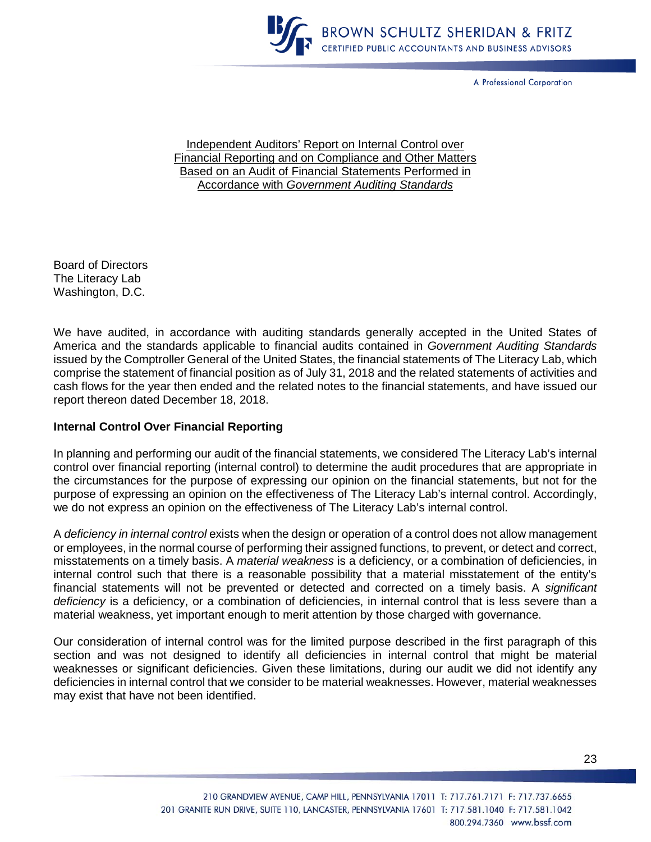

A Professional Corporation

Independent Auditors' Report on Internal Control over Financial Reporting and on Compliance and Other Matters Based on an Audit of Financial Statements Performed in Accordance with *Government Auditing Standards*

Board of Directors The Literacy Lab Washington, D.C.

We have audited, in accordance with auditing standards generally accepted in the United States of America and the standards applicable to financial audits contained in *Government Auditing Standards* issued by the Comptroller General of the United States, the financial statements of The Literacy Lab, which comprise the statement of financial position as of July 31, 2018 and the related statements of activities and cash flows for the year then ended and the related notes to the financial statements, and have issued our report thereon dated December 18, 2018.

#### **Internal Control Over Financial Reporting**

In planning and performing our audit of the financial statements, we considered The Literacy Lab's internal control over financial reporting (internal control) to determine the audit procedures that are appropriate in the circumstances for the purpose of expressing our opinion on the financial statements, but not for the purpose of expressing an opinion on the effectiveness of The Literacy Lab's internal control. Accordingly, we do not express an opinion on the effectiveness of The Literacy Lab's internal control.

A *deficiency in internal control* exists when the design or operation of a control does not allow management or employees, in the normal course of performing their assigned functions, to prevent, or detect and correct, misstatements on a timely basis. A *material weakness* is a deficiency, or a combination of deficiencies, in internal control such that there is a reasonable possibility that a material misstatement of the entity's financial statements will not be prevented or detected and corrected on a timely basis. A *significant deficiency* is a deficiency, or a combination of deficiencies, in internal control that is less severe than a material weakness, yet important enough to merit attention by those charged with governance.

Our consideration of internal control was for the limited purpose described in the first paragraph of this section and was not designed to identify all deficiencies in internal control that might be material weaknesses or significant deficiencies. Given these limitations, during our audit we did not identify any deficiencies in internal control that we consider to be material weaknesses. However, material weaknesses may exist that have not been identified.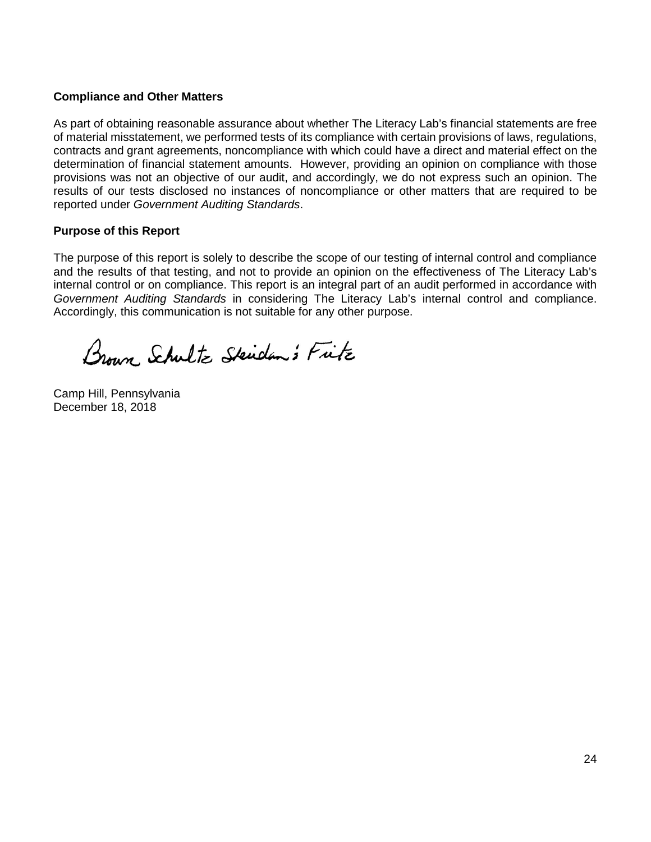## **Compliance and Other Matters**

As part of obtaining reasonable assurance about whether The Literacy Lab's financial statements are free of material misstatement, we performed tests of its compliance with certain provisions of laws, regulations, contracts and grant agreements, noncompliance with which could have a direct and material effect on the determination of financial statement amounts. However, providing an opinion on compliance with those provisions was not an objective of our audit, and accordingly, we do not express such an opinion. The results of our tests disclosed no instances of noncompliance or other matters that are required to be reported under *Government Auditing Standards*.

## **Purpose of this Report**

The purpose of this report is solely to describe the scope of our testing of internal control and compliance and the results of that testing, and not to provide an opinion on the effectiveness of The Literacy Lab's internal control or on compliance. This report is an integral part of an audit performed in accordance with *Government Auditing Standards* in considering The Literacy Lab's internal control and compliance. Accordingly, this communication is not suitable for any other purpose.

Brown Schultz Skidan's Fitz

Camp Hill, Pennsylvania December 18, 2018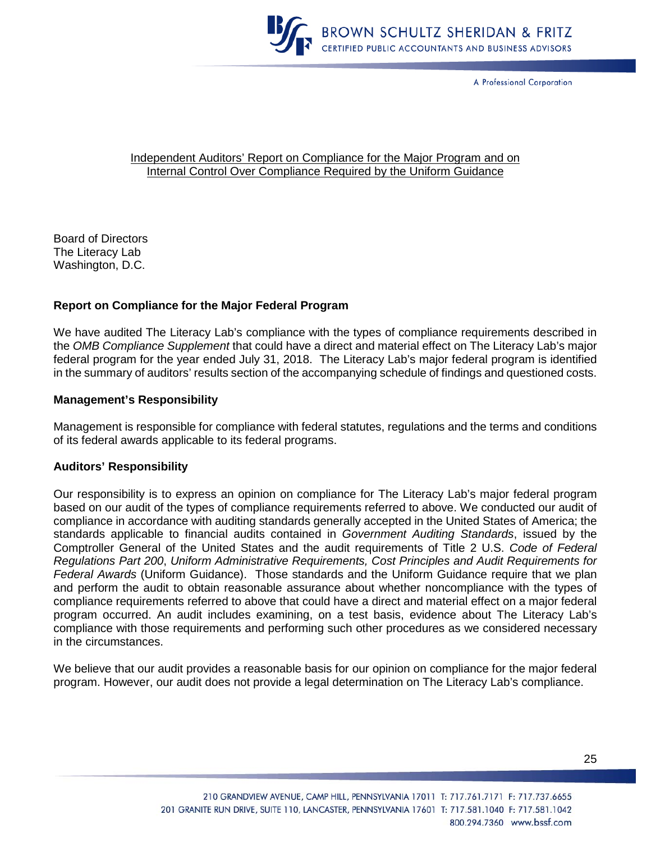

A Professional Corporation

### Independent Auditors' Report on Compliance for the Major Program and on Internal Control Over Compliance Required by the Uniform Guidance

Board of Directors The Literacy Lab Washington, D.C.

## **Report on Compliance for the Major Federal Program**

We have audited The Literacy Lab's compliance with the types of compliance requirements described in the *OMB Compliance Supplement* that could have a direct and material effect on The Literacy Lab's major federal program for the year ended July 31, 2018. The Literacy Lab's major federal program is identified in the summary of auditors' results section of the accompanying schedule of findings and questioned costs.

## **Management's Responsibility**

Management is responsible for compliance with federal statutes, regulations and the terms and conditions of its federal awards applicable to its federal programs.

#### **Auditors' Responsibility**

Our responsibility is to express an opinion on compliance for The Literacy Lab's major federal program based on our audit of the types of compliance requirements referred to above. We conducted our audit of compliance in accordance with auditing standards generally accepted in the United States of America; the standards applicable to financial audits contained in *Government Auditing Standards*, issued by the Comptroller General of the United States and the audit requirements of Title 2 U.S. *Code of Federal Regulations Part 200*, *Uniform Administrative Requirements, Cost Principles and Audit Requirements for Federal Awards* (Uniform Guidance). Those standards and the Uniform Guidance require that we plan and perform the audit to obtain reasonable assurance about whether noncompliance with the types of compliance requirements referred to above that could have a direct and material effect on a major federal program occurred. An audit includes examining, on a test basis, evidence about The Literacy Lab's compliance with those requirements and performing such other procedures as we considered necessary in the circumstances.

We believe that our audit provides a reasonable basis for our opinion on compliance for the major federal program. However, our audit does not provide a legal determination on The Literacy Lab's compliance.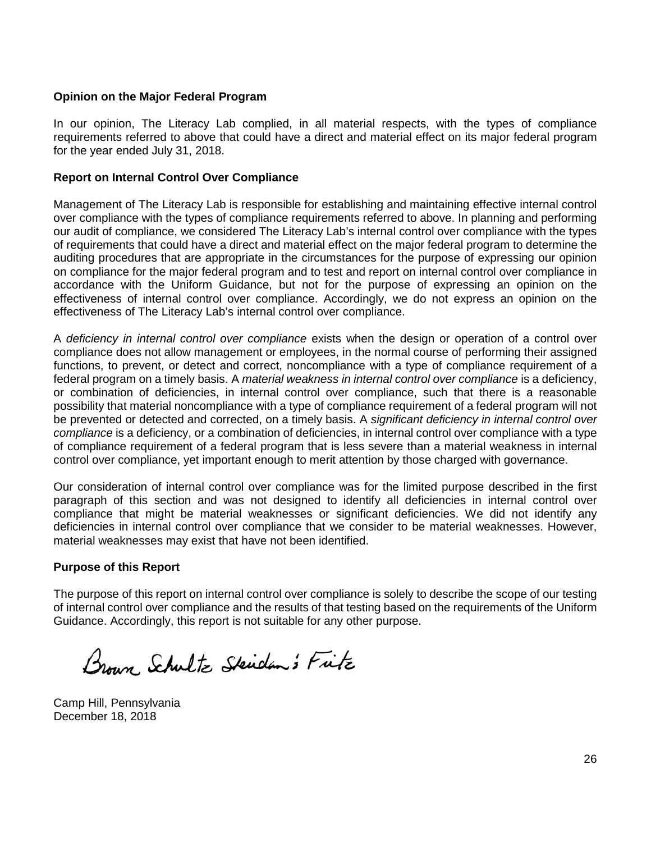### **Opinion on the Major Federal Program**

In our opinion, The Literacy Lab complied, in all material respects, with the types of compliance requirements referred to above that could have a direct and material effect on its major federal program for the year ended July 31, 2018.

### **Report on Internal Control Over Compliance**

Management of The Literacy Lab is responsible for establishing and maintaining effective internal control over compliance with the types of compliance requirements referred to above. In planning and performing our audit of compliance, we considered The Literacy Lab's internal control over compliance with the types of requirements that could have a direct and material effect on the major federal program to determine the auditing procedures that are appropriate in the circumstances for the purpose of expressing our opinion on compliance for the major federal program and to test and report on internal control over compliance in accordance with the Uniform Guidance, but not for the purpose of expressing an opinion on the effectiveness of internal control over compliance. Accordingly, we do not express an opinion on the effectiveness of The Literacy Lab's internal control over compliance.

A *deficiency in internal control over compliance* exists when the design or operation of a control over compliance does not allow management or employees, in the normal course of performing their assigned functions, to prevent, or detect and correct, noncompliance with a type of compliance requirement of a federal program on a timely basis. A *material weakness in internal control over compliance* is a deficiency, or combination of deficiencies, in internal control over compliance, such that there is a reasonable possibility that material noncompliance with a type of compliance requirement of a federal program will not be prevented or detected and corrected, on a timely basis. A *significant deficiency in internal control over compliance* is a deficiency, or a combination of deficiencies, in internal control over compliance with a type of compliance requirement of a federal program that is less severe than a material weakness in internal control over compliance, yet important enough to merit attention by those charged with governance.

Our consideration of internal control over compliance was for the limited purpose described in the first paragraph of this section and was not designed to identify all deficiencies in internal control over compliance that might be material weaknesses or significant deficiencies. We did not identify any deficiencies in internal control over compliance that we consider to be material weaknesses. However, material weaknesses may exist that have not been identified.

## **Purpose of this Report**

The purpose of this report on internal control over compliance is solely to describe the scope of our testing of internal control over compliance and the results of that testing based on the requirements of the Uniform Guidance. Accordingly, this report is not suitable for any other purpose.

Brown Schultz Skidan's Fitz

Camp Hill, Pennsylvania December 18, 2018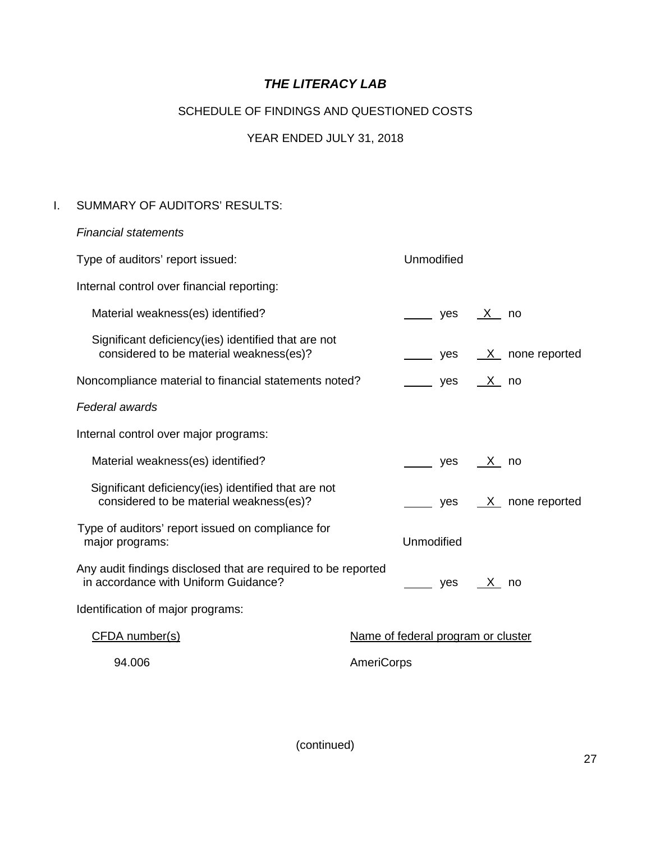# SCHEDULE OF FINDINGS AND QUESTIONED COSTS

# YEAR ENDED JULY 31, 2018

## I. SUMMARY OF AUDITORS' RESULTS:

| <b>Financial statements</b>                                                                           |                                    |
|-------------------------------------------------------------------------------------------------------|------------------------------------|
| Type of auditors' report issued:                                                                      | Unmodified                         |
| Internal control over financial reporting:                                                            |                                    |
| Material weakness(es) identified?                                                                     | X no<br>yes                        |
| Significant deficiency(ies) identified that are not<br>considered to be material weakness(es)?        | $X$ none reported<br>yes           |
| Noncompliance material to financial statements noted?                                                 | X no<br>yes                        |
| Federal awards                                                                                        |                                    |
| Internal control over major programs:                                                                 |                                    |
| Material weakness(es) identified?                                                                     | X no<br>yes                        |
| Significant deficiency(ies) identified that are not<br>considered to be material weakness(es)?        | X none reported<br>yes             |
| Type of auditors' report issued on compliance for<br>major programs:                                  | Unmodified                         |
| Any audit findings disclosed that are required to be reported<br>in accordance with Uniform Guidance? | X no<br>yes                        |
| Identification of major programs:                                                                     |                                    |
| CFDA number(s)                                                                                        | Name of federal program or cluster |
| 94.006                                                                                                | <b>AmeriCorps</b>                  |